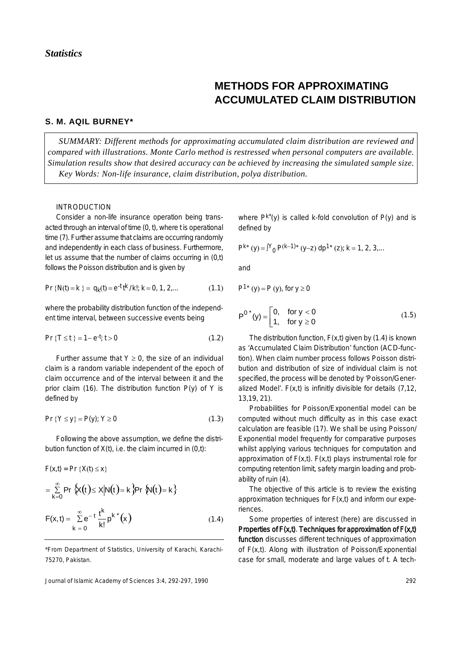# **METHODS FOR APPROXIMATING ACCUMULATED CLAIM DISTRIBUTION**

## **S. M. AQIL BURNEY\***

*SUMMARY: Different methods for approximating accumulated claim distribution are reviewed and compared with illustrations. Monte Carlo method is restressed when personal computers are available. Simulation results show that desired accuracy can be achieved by increasing the simulated sample size. Key Words: Non-life insurance, claim distribution, polya distribution.* 

# INTRODUCTION

Consider a non-life insurance operation being transacted through an interval of time (0, t), where t is operational time (7). Further assume that claims are occurring randomly and independently in each class of business. Furthermore, let us assume that the number of claims occurring in (0,t) follows the Poisson distribution and is given by

$$
Pr\{N(t) = k\} = q_k(t) = e^{-t} t^{k} / k!; k = 0, 1, 2, \dots
$$
 (1.1)

where the probability distribution function of the independent time interval, between successive events being

$$
Pr\{T \le t\} = 1 - e^{-t}; t > 0 \tag{1.2}
$$

Further assume that  $Y \ge 0$ , the size of an individual claim is a random variable independent of the epoch of claim occurrence and of the interval between it and the prior claim (16). The distribution function  $P(y)$  of Y is defined by

$$
Pr\{Y \le y\} = P(y); Y \ge 0 \tag{1.3}
$$

Following the above assumption, we define the distribution function of  $X(t)$ , i.e. the claim incurred in  $(0,t)$ :

$$
F(x,t) = Pr \{X(t) \le x\}
$$
  
\n
$$
= \sum_{k=0}^{\infty} Pr \{X(t) \le x | N(t) = k\} Pr \{N(t) = k\}
$$
  
\n
$$
F(x,t) = \sum_{k=0}^{\infty} e^{-t} \frac{t^k}{k!} p^{k^*}(x)
$$
 (1.4)

\*From Department of Statistics, University of Karachi, Karachi-75270, Pakistan.

Journal of Islamic Academy of Sciences 3:4, 292-297, 1990

where  $P^{k^*}(y)$  is called k-fold convolution of  $P(y)$  and is defined by

$$
P^{k*}(y) = \int_{0}^{y} P^{(k-1)*}(y-z) dp^{1*}(z); k = 1, 2, 3, ...
$$

and

 $P1* (y) - P(y)$  for  $y > 0$ 

$$
P^{0*}(y) = \begin{bmatrix} 0, & \text{for } y < 0 \\ 1, & \text{for } y \ge 0 \end{bmatrix}
$$
 (1.5)

The distribution function,  $F(x,t)$  given by (1.4) is known as 'Accumulated Claim Distribution' function (ACD-function). When claim number process follows Poisson distribution and distribution of size of individual claim is not specified, the process will be denoted by 'Poisson/Generalized Model'.  $F(x,t)$  is infinitly divisible for details  $(7.12)$ , 13,19, 21).

Probabilities for Poisson/Exponential model can be computed without much difficulty as in this case exact calculation are feasible (17). We shall be using Poisson/ Exponential model frequently for comparative purposes whilst applying various techniques for computation and approximation of  $F(x,t)$ .  $F(x,t)$  plays instrumental role for computing retention limit, safety margin loading and probability of ruin (4).

The objective of this article is to review the existing approximation techniques for  $F(x,t)$  and inform our experiences.

Some properties of interest (here) are discussed in Properties of  $F(x,t)$ . Techniques for approximation of  $F(x,t)$ function discusses different techniques of approximation of F(x,t). Along with illustration of Poisson/Exponential case for small, moderate and large values of t. A tech-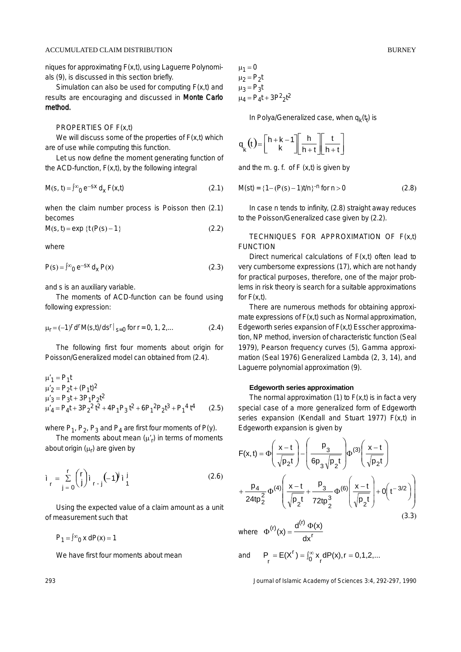## ACCUMULATED CLAIM DISTRIBUTION BURNEY

niques for approximating F(x,t), using Laguerre Polynomials (9), is discussed in this section briefly.

Simulation can also be used for computing  $F(x,t)$  and results are encouraging and discussed in Monte Carlo method.

#### PROPERTIES OF F(x,t)

We will discuss some of the properties of  $F(x,t)$  which are of use while computing this function.

Let us now define the moment generating function of the ACD-function,  $F(x,t)$ , by the following integral

$$
M(s, t) = \int_{0}^{\infty} e^{-sx} d_{x} F(x, t)
$$
 (2.1)

when the claim number process is Poisson then (2.1) becomes

 $M(s, t) = exp {t (P(s) - 1)}$  (2.2)

where

$$
P(s) = \int_{0}^{\infty} e^{-sx} d_x P(x)
$$
 (2.3)

and s is an auxiliary variable.

The moments of ACD-function can be found using following expression:

$$
\mu_r = (-1)^r d^r M(s, t) / ds^r \big|_{s=0} \text{ for } r = 0, 1, 2, \dots \tag{2.4}
$$

The following first four moments about origin for Poisson/Generalized model can obtained from (2.4).

$$
\mu'_{1} = P_{1}t
$$
  
\n
$$
\mu'_{2} = P_{2}t + (P_{1}t)^{2}
$$
  
\n
$$
\mu'_{3} = P_{3}t + 3P_{1}P_{2}t^{2}
$$
  
\n
$$
\mu'_{4} = P_{4}t + 3P_{2}^{2}t^{2} + 4P_{1}P_{3}t^{2} + 6P_{1}^{2}P_{2}t^{3} + P_{1}^{4}t^{4}
$$
 (2.5)

where  $P_1$ ,  $P_2$ ,  $P_3$  and  $P_4$  are first four moments of P(y).

The moments about mean  $(\mu'_r)$  in terms of moments about origin (µ<sub>r</sub>) are given by

$$
i_{r} = \sum_{j=0}^{r} {r \choose j} i_{r-j} (-1)^{j} i_{1}^{j}
$$
 (2.6)

Using the expected value of a claim amount as a unit of measurement such that

 $P_1 = \int_0^\infty x \, dP(x) = 1$ 

We have first four moments about mean

$$
\mu_1 = 0
$$
  
\n
$$
\mu_2 = P_2 t
$$
  
\n
$$
\mu_3 = P_3 t
$$
  
\n
$$
\mu_4 = P_4 t + 3P^2 2t^2
$$

In Polya/Generalized case, when  $q_k(t_t)$  is

$$
q_{k}(t) = \left[\begin{array}{c} h + k - 1 \\ k \end{array}\right] \left[\begin{array}{c} h \\ h + t \end{array}\right] \left[\begin{array}{c} t \\ h + t \end{array}\right]
$$

and the m. g. f. of F (x,t) is given by

$$
M(st) = \{1 - (P(s) - 1)t/n\}^{-n} \text{ for } n > 0 \tag{2.8}
$$

In case n tends to infinity, (2.8) straight away reduces to the Poisson/Generalized case given by (2.2).

TECHNIQUES FOR APPROXIMATION OF F(x,t) FUNCTION

Direct numerical calculations of  $F(x,t)$  often lead to very cumbersome expressions (17), which are not handy for practical purposes, therefore, one of the major problems in risk theory is search for a suitable approximations for  $F(x,t)$ .

There are numerous methods for obtaining approximate expressions of F(x,t) such as Normal approximation, Edgeworth series expansion of F(x,t) Esscher approximation, NP method, inversion of characteristic function (Seal 1979), Pearson frequency curves (5), Gamma approximation (Seal 1976) Generalized Lambda (2, 3, 14), and Laguerre polynomial approximation (9).

# **Edgeworth series approximation**

The normal approximation  $(1)$  to  $F(x,t)$  is in fact a very special case of a more generalized form of Edgeworth series expansion (Kendall and Stuart 1977) F(x,t) in Edgeworth expansion is given by

$$
F(x,t) = \Phi\left(\frac{x-t}{\sqrt{p_2 t}}\right) - \left(\frac{p_3}{6p_3\sqrt{p_2 t}}\right)\Phi^{(3)}\left(\frac{x-t}{\sqrt{p_2 t}}\right) + \frac{p_4}{24tp_2^2}\Phi^{(4)}\left(\frac{x-t}{\sqrt{p_2 t}} + \frac{p_3}{72tp_2^3}\Phi^{(6)}\left(\frac{x-t}{\sqrt{p_2 t}}\right) + O\left(t^{-3/2}\right)\right)
$$
\n(3.3)

r  $(r)$ <sub>(x)</sub>  $d^{(r)}$ dx where  $\Phi^{(r)}(x) = \frac{d^{(r)} \Phi(x)}{r}$ 

and 
$$
P_r = E(X^r) = \int_0^\infty x_r dP(x), r = 0, 1, 2,...
$$

293 Journal of Islamic Academy of Sciences 3:4, 292-297, 1990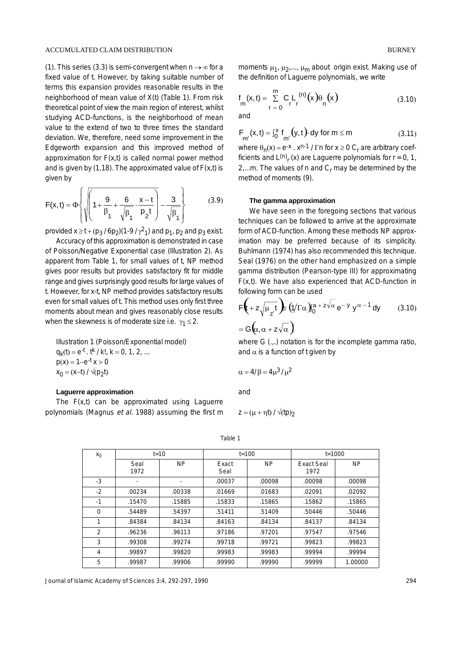#### ACCUMULATED CLAIM DISTRIBUTION

(1). This series (3.3) is semi-convergent when  $n \rightarrow \infty$  for a fixed value of t. However, by taking suitable number of terms this expansion provides reasonable results in the neighborhood of mean value of X(t) (Table 1). From risk theoretical point of view the main region of interest, whilst studying ACD-functions, is the neighborhood of mean value to the extend of two to three times the standard deviation. We, therefore, need some improvement in the Edgeworth expansion and this improved method of approximation for  $F(x,t)$  is called normal power method and is given by (1,18). The approximated value of  $F(x,t)$  is given by

$$
F(x,t) = \Phi \left\{ \sqrt{\left( 1 + \frac{9}{\beta_1} + \frac{6}{\sqrt{\beta_1}} \cdot \frac{x-t}{\rho_2 t} \right)} - \frac{3}{\sqrt{\beta_1}} \right\}
$$
(3.9)

provided  $x \ge t + (p_3 / 6p_2)(1-9 / \gamma^2)$  and  $p_1$ ,  $p_2$  and  $p_3$  exist.

Accuracy of this approximation is demonstrated in case of Poisson/Negative Exponential case (Illustration 2). As apparent from Table 1, for small values of t, NP method gives poor results but provides satisfactory fit for middle range and gives surprisingly good results for large values of t. However, for x-t, NP method provides satisfactory results even for small values of t. This method uses only first three moments about mean and gives reasonably close results when the skewness is of moderate size i.e.  $\gamma_1 \leq 2$ .

Illustration 1 (Poisson/Exponential model)  $q_k(t) = e^{-t}$ .  $t^k / k!$ ,  $k = 0, 1, 2, ...$  $p(x) = 1 - e^{-t} x > 0$  $x_0 = (x-t)/\sqrt{(p_2t)}$ 

## **Laguerre approximation**

The  $F(x,t)$  can be approximated using Laguerre polynomials (Magnus et al. 1988) assuming the first m **BURNEY** 

moments  $\mu_1$ ,  $\mu_2$ ,...,  $\mu_m$  about origin exist. Making use of the definition of Laguerre polynomials, we write

$$
f_{m}(x,t) = \sum_{r=0}^{m} C_{r} L_{r}^{(n)}(x) \theta_{n}(x)
$$
 (3.10)

and

$$
F_{m'}(x,t) = \int_0^x f_{m'}(y,t) \, dy \text{ for } m \le m \tag{3.11}
$$

where  $\theta_n(x) = e^{-x} \cdot x^{n-1} / \Gamma n$  for  $x \ge 0$  C<sub>r</sub> are arbitrary coefficients and  $L^{(n)}$ , (x) are Laguerre polynomials for  $r = 0, 1$ , 2,...m. The values of n and  $C_r$  may be determined by the method of moments (9).

#### **The gamma approximation**

We have seen in the foregoing sections that various techniques can be followed to arrive at the approximate form of ACD-function. Among these methods NP approximation may be preferred because of its simplicity. Buhlmann (1974) has also recommended this technique. Seal (1976) on the other hand emphasized on a simple gamma distribution (Pearson-type III) for approximating  $F(x,t)$ . We have also experienced that ACD-function in following form can be used

$$
\mathsf{F}\left(+z\sqrt{\mu_{z'}t}\right) \equiv (\sqrt{\Gamma\alpha})_0^{a+z\sqrt{\alpha}} e^{-y} y^{\alpha-1} dy \qquad (3.10)
$$

$$
= \mathsf{G}\left(\alpha, \alpha + z\sqrt{\alpha}\right)
$$

where G (...) notation is for the incomplete gamma ratio, and  $\alpha$  is a function of t given by

$$
\alpha=4/\beta=4\mu^3/\mu^2
$$

and

$$
z = (\mu + \eta t) / \sqrt{(tp)}_2
$$

|  | $x_0$    | $t = 10$ |                | $t = 100$ |                | $t = 1000$        |           |  |
|--|----------|----------|----------------|-----------|----------------|-------------------|-----------|--|
|  |          | Seal     | N <sub>P</sub> | Exact     | N <sub>P</sub> | <b>Exact Seal</b> | <b>NP</b> |  |
|  |          | 1972     |                | Seal      |                | 1972              |           |  |
|  | $-3$     | ٠        |                | .00037    | .00098         | .00098            | .00098    |  |
|  | $-2$     | .00234   | .00338         | .01669    | .01683         | .02091            | .02092    |  |
|  | $-1$     | .15470   | .15885         | .15833    | .15865         | .15862            | .15865    |  |
|  | $\Omega$ | .54489   | .54397         | .51411    | .51409         | .50446            | .50446    |  |
|  | 1        | .84384   | .84134         | .84163    | .84134         | .84137            | .84134    |  |
|  | 2        | .96236   | .96113         | .97186    | .97201         | .97547            | .97546    |  |
|  | 3        | .99308   | .99274         | .99718    | .99721         | .99823            | .99823    |  |
|  | 4        | .99897   | .99820         | .99983    | .99983         | .99994            | .99994    |  |
|  | 5        | .99987   | .99906         | .99990    | .99990         | .99999            | 1.00000   |  |

Table 1

Journal of Islamic Academy of Sciences 3:4, 292-297, 1990 294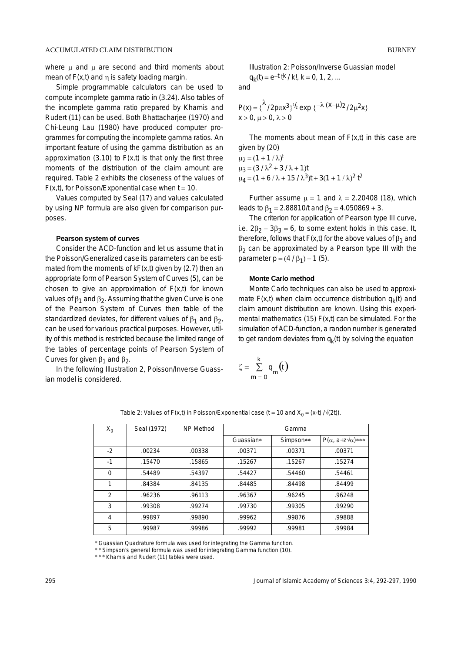where  $\mu$  and  $\mu$  are second and third moments about mean of  $F(x,t)$  and  $\eta$  is safety loading margin.

Simple programmable calculators can be used to compute incomplete gamma ratio in (3.24). Also tables of the incomplete gamma ratio prepared by Khamis and Rudert (11) can be used. Both Bhattacharjee (1970) and Chi-Leung Lau (1980) have produced computer programmes for computing the incomplete gamma ratios. An important feature of using the gamma distribution as an approximation  $(3.10)$  to  $F(x,t)$  is that only the first three moments of the distribution of the claim amount are required. Table 2 exhibits the closeness of the values of  $F(x,t)$ , for Poisson/Exponential case when  $t = 10$ .

Values computed by Seal (17) and values calculated by using NP formula are also given for comparison purposes.

#### **Pearson system of curves**

Consider the ACD-function and let us assume that in the Poisson/Generalized case its parameters can be estimated from the moments of  $kF(x,t)$  given by (2.7) then an appropriate form of Pearson System of Curves (5), can be chosen to give an approximation of  $F(x,t)$  for known values of  $β_1$  and  $β_2$ . Assuming that the given Curve is one of the Pearson System of Curves then table of the standardized deviates, for different values of  $\beta_1$  and  $\beta_2$ , can be used for various practical purposes. However, utility of this method is restricted because the limited range of the tables of percentage points of Pearson System of Curves for given  $\beta_1$  and  $\beta_2$ .

In the following Illustration 2, Poisson/Inverse Guassian model is considered.

Illustration 2: Poisson/Inverse Guassian model

 $q_k(t) = e^{-t} t^{k} / k!$ ,  $k = 0, 1, 2, ...$ 

and

$$
P(x) = \{ \frac{\lambda}{2} p \pi x^3 \}^{1/2} \exp \{ -\lambda (x-\mu)2 / 2\mu^2 x \}
$$
  
x > 0,  $\mu > 0$ ,  $\lambda > 0$ 

The moments about mean of  $F(x,t)$  in this case are given by (20)

 $\mu_2 = (1 + 1/\lambda)^t$  $\mu_3 = (3 / \lambda^2 + 3 / \lambda + 1)t$  $\mu_4 = (1 + 6 / \lambda + 15 / \lambda^3)t + 3(1 + 1 / \lambda)^2 t^2$ 

Further assume  $\mu = 1$  and  $\lambda = 2.20408$  (18), which leads to  $\beta_1 = 2.88810/t$  and  $\beta_2 = 4.050869 + 3.$ 

The criterion for application of Pearson type III curve, i.e.  $2\beta_2 - 3\beta_3 = 6$ , to some extent holds in this case. It, therefore, follows that F(x,t) for the above values of  $\beta_1$  and  $β<sub>2</sub>$  can be approximated by a Pearson type III with the parameter  $p = (4 / \beta_1) - 1$  (5).

## **Monte Carlo method**

Monte Carlo techniques can also be used to approximate  $F(x,t)$  when claim occurrence distribution  $q_k(t)$  and claim amount distribution are known. Using this experimental mathematics (15)  $F(x,t)$  can be simulated. For the simulation of ACD-function, a randon number is generated to get random deviates from  $q_k(t)$  by solving the equation

$$
\zeta = \sum_{m=0}^{k} q_m(t)
$$

| $X_0$          | Seal (1972) | NP Method | Gamma     |           |                                   |
|----------------|-------------|-----------|-----------|-----------|-----------------------------------|
|                |             |           | Guassian* | Simpson** | $P(\alpha, a+z\sqrt{\alpha})$ *** |
| $-2$           | .00234      | .00338    | .00371    | .00371    | .00371                            |
| $-1$           | .15470      | .15865    | .15267    | .15267    | .15274                            |
| $\Omega$       | .54489      | .54397    | .54427    | .54460    | .54461                            |
| 1              | .84384      | .84135    | .84485    | .84498    | .84499                            |
| 2              | .96236      | .96113    | .96367    | .96245    | .96248                            |
| 3              | .99308      | .99274    | .99730    | .99305    | .99290                            |
| $\overline{4}$ | .99897      | .99890    | .99962    | .99876    | .99888                            |
| 5              | .99987      | .99986    | .99992    | .99981    | .99984                            |

Table 2: Values of F(x,t) in Poisson/Exponential case (t = 10 and  $X_0 = (x-t)/\sqrt{2t}$ ).

\* Guassian Quadrature formula was used for integrating the Gamma function.

\* \* Simpson's general formula was used for integrating Gamma function (10).

\* \* \* Khamis and Rudert (11) tables were used.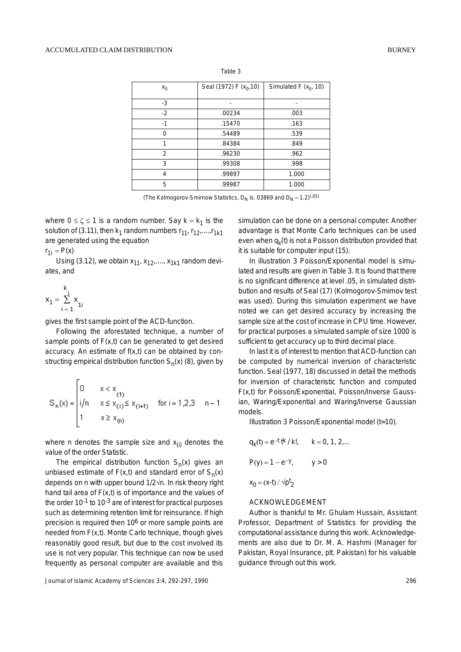| $x_0$    | Seal (1972) F $(x_0, 10)$ | Simulated F $(x_0, 10)$ |  |
|----------|---------------------------|-------------------------|--|
| $-3$     |                           | -                       |  |
| $-2$     | .00234                    | .003                    |  |
| $-1$     | .15470                    | .163                    |  |
| $\Omega$ | .54489                    | .539                    |  |
| 1        | .84384                    | .849                    |  |
| 2        | .96230                    | .962                    |  |
| 3        | .99308                    | .998                    |  |
| 4        | .99897                    | 1.000                   |  |
| 5        | .99987                    | 1.000                   |  |

Table 3

(The Kolmogorov-Smirnow Statistics,  $D_N$  is. 03869 and  $D_N = 1.2$ )<sup>(.05)</sup>

where  $0 \le \zeta \le 1$  is a random number. Say  $k = k_1$  is the solution of (3.11), then  $k_1$  random numbers  $r_{11}$ ,  $r_{12}$ ,...., $r_{1k1}$ are generated using the equation

 $r_{1i} = P(x)$ 

Using (3.12), we obtain  $x_{11}$ ,  $x_{12}$ ,....,  $x_{1k1}$  random deviates, and

$$
x_1 = \sum_{i=1}^k x_{1i}
$$

gives the first sample point of the ACD-function.

Following the aforestated technique, a number of sample points of  $F(x,t)$  can be generated to get desired accuracy. An estimate of  $f(x,t)$  can be obtained by constructing empirical distribution function  $S_n(x)$  (8), given by

$$
S_n(x) = \begin{bmatrix} 0 & x < x \\ i/n & x \leq x_{(i)} \leq x_{(i+1)} \\ 1 & x \geq x_{(n)} \end{bmatrix} \text{ for } i = 1, 2, 3 \quad n-1
$$

where n denotes the sample size and  $x_{(i)}$  denotes the value of the order Statistic.

The empirical distribution function  $S_n(x)$  gives an unbiased estimate of  $F(x,t)$  and standard error of  $S_n(x)$ depends on n with upper bound 1/2√n. In risk theory right hand tail area of  $F(x,t)$  is of importance and the values of the order  $10^{-1}$  to  $10^{-3}$  are of interest for practical purposes such as determining retention limit for reinsurance. If high precision is required then 10<sup>6</sup> or more sample points are needed from F(x,t). Monte Carlo technique, though gives reasonably good result, but due to the cost involved its use is not very popular. This technique can now be used frequently as personal computer are available and this

Journal of Islamic Academy of Sciences 3:4, 292-297, 1990 296

simulation can be done on a personal computer. Another advantage is that Monte Carlo techniques can be used even when  $q_k(t)$  is not a Poisson distribution provided that it is suitable for computer input (15).

In illustration 3 Poisson/Exponential model is simulated and results are given in Table 3. It is found that there is no significant difference at level .05, in simulated distribution and results of Seal (17) (Kolmogorov-Smirnov test was used). During this simulation experiment we have noted we can get desired accuracy by increasing the sample size at the cost of increase in CPU time. However, for practical purposes a simulated sample of size 1000 is sufficient to get accuracy up to third decimal place.

In last it is of interest to mention that ACD-function can be computed by numerical inversion of characteristic function. Seal (1977, 18) discussed in detail the methods for inversion of characteristic function and computed F(x,t) for Poisson/Exponential, Poisson/Inverse Gaussian, Waring/Exponential and Waring/Inverse Gaussian models.

Illustration 3 Poisson/Exponential model (t=10).

$$
q_k(t) = e^{-t} t^{k} / k!,
$$
  $k = 0, 1, 2,...$   
\n $P(y) = 1 - e^{-y},$   $y > 0$   
\n $x_0 = (x-t) / \sqrt{p^t}$ 

#### ACKNOWLEDGEMENT

Author is thankful to Mr. Ghulam Hussain, Assistant Professor, Department of Statistics for providing the computational assistance during this work. Acknowledgements are also due to Dr. M. A. Hashmi (Manager for Pakistan, Royal Insurance, plt. Pakistan) for his valuable guidance through out this work.